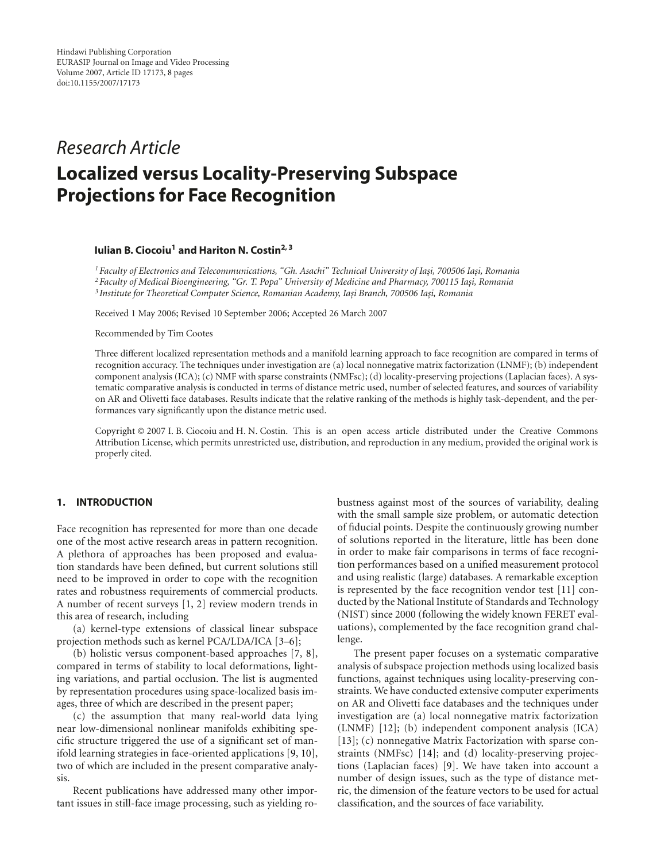## *Research Article*

# **Localized versus Locality-Preserving Subspace Projections for Face Recognition**

## **Iulian B. Ciocoiu1 and Hariton N. Costin2, 3**

<sup>1</sup> Faculty of Electronics and Telecommunications, "Gh. Asachi" Technical University of Iași, 700506 Iași, Romania <sup>2</sup> Faculty of Medical Bioengineering, "Gr. T. Popa" University of Medicine and Pharmacy, 700115 Iasi, Romania <sup>3</sup> Institute for Theoretical Computer Science, Romanian Academy, Iași Branch, 700506 Iași, Romania

Received 1 May 2006; Revised 10 September 2006; Accepted 26 March 2007

Recommended by Tim Cootes

Three different localized representation methods and a manifold learning approach to face recognition are compared in terms of recognition accuracy. The techniques under investigation are (a) local nonnegative matrix factorization (LNMF); (b) independent component analysis (ICA); (c) NMF with sparse constraints (NMFsc); (d) locality-preserving projections (Laplacian faces). A systematic comparative analysis is conducted in terms of distance metric used, number of selected features, and sources of variability on AR and Olivetti face databases. Results indicate that the relative ranking of the methods is highly task-dependent, and the performances vary significantly upon the distance metric used.

Copyright © 2007 I. B. Ciocoiu and H. N. Costin. This is an open access article distributed under the Creative Commons Attribution License, which permits unrestricted use, distribution, and reproduction in any medium, provided the original work is properly cited.

## **1. INTRODUCTION**

Face recognition has represented for more than one decade one of the most active research areas in pattern recognition. A plethora of approaches has been proposed and evaluation standards have been defined, but current solutions still need to be improved in order to cope with the recognition rates and robustness requirements of commercial products. A number of recent surveys [\[1](#page-7-1), [2\]](#page-7-2) review modern trends in this area of research, including

(a) kernel-type extensions of classical linear subspace projection methods such as kernel PCA/LDA/ICA [\[3](#page-7-3)[–6\]](#page-7-4);

(b) holistic versus component-based approaches [\[7,](#page-7-5) [8](#page-7-6)], compared in terms of stability to local deformations, lighting variations, and partial occlusion. The list is augmented by representation procedures using space-localized basis images, three of which are described in the present paper;

(c) the assumption that many real-world data lying near low-dimensional nonlinear manifolds exhibiting specific structure triggered the use of a significant set of manifold learning strategies in face-oriented applications [\[9,](#page-7-7) [10](#page-7-8)], two of which are included in the present comparative analysis.

Recent publications have addressed many other important issues in still-face image processing, such as yielding robustness against most of the sources of variability, dealing with the small sample size problem, or automatic detection of fiducial points. Despite the continuously growing number of solutions reported in the literature, little has been done in order to make fair comparisons in terms of face recognition performances based on a unified measurement protocol and using realistic (large) databases. A remarkable exception is represented by the face recognition vendor test [\[11](#page-7-9)] conducted by the National Institute of Standards and Technology (NIST) since 2000 (following the widely known FERET evaluations), complemented by the face recognition grand challenge.

The present paper focuses on a systematic comparative analysis of subspace projection methods using localized basis functions, against techniques using locality-preserving constraints. We have conducted extensive computer experiments on AR and Olivetti face databases and the techniques under investigation are (a) local nonnegative matrix factorization (LNMF) [\[12](#page-7-10)]; (b) independent component analysis (ICA) [\[13](#page-7-11)]; (c) nonnegative Matrix Factorization with sparse constraints (NMFsc) [\[14](#page-7-12)]; and (d) locality-preserving projections (Laplacian faces) [\[9](#page-7-7)]. We have taken into account a number of design issues, such as the type of distance metric, the dimension of the feature vectors to be used for actual classification, and the sources of face variability.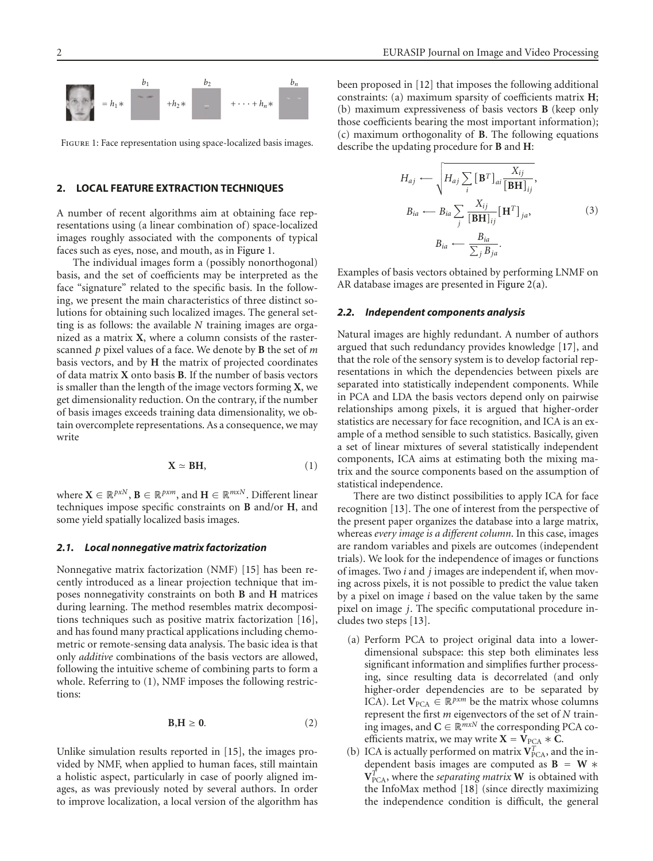

<span id="page-1-0"></span>Figure 1: Face representation using space-localized basis images.

## <span id="page-1-2"></span>**2. LOCAL FEATURE EXTRACTION TECHNIQUES**

A number of recent algorithms aim at obtaining face representations using (a linear combination of) space-localized images roughly associated with the components of typical faces such as eyes, nose, and mouth, as in [Figure 1.](#page-1-0)

The individual images form a (possibly nonorthogonal) basis, and the set of coefficients may be interpreted as the face "signature" related to the specific basis. In the following, we present the main characteristics of three distinct solutions for obtaining such localized images. The general setting is as follows: the available *N* training images are organized as a matrix **X**, where a column consists of the rasterscanned *p* pixel values of a face. We denote by **B** the set of *m* basis vectors, and by **H** the matrix of projected coordinates of data matrix **X** onto basis **B**. If the number of basis vectors is smaller than the length of the image vectors forming **X**, we get dimensionality reduction. On the contrary, if the number of basis images exceeds training data dimensionality, we obtain overcomplete representations. As a consequence, we may write

<span id="page-1-1"></span>
$$
\mathbf{X} \simeq \mathbf{B} \mathbf{H},\tag{1}
$$

where  $X \in \mathbb{R}^{p \times N}$ ,  $B \in \mathbb{R}^{p \times m}$ , and  $H \in \mathbb{R}^{m \times N}$ . Different linear techniques impose specific constraints on **B** and/or **H**, and some yield spatially localized basis images.

#### *2.1. Local nonnegative matrix factorization*

Nonnegative matrix factorization (NMF) [\[15](#page-7-13)] has been recently introduced as a linear projection technique that imposes nonnegativity constraints on both **B** and **H** matrices during learning. The method resembles matrix decompositions techniques such as positive matrix factorization [\[16](#page-7-14)], and has found many practical applications including chemometric or remote-sensing data analysis. The basic idea is that only *additive* combinations of the basis vectors are allowed, following the intuitive scheme of combining parts to form a whole. Referring to [\(1\)](#page-1-1), NMF imposes the following restrictions:

$$
B, H \geq 0. \tag{2}
$$

Unlike simulation results reported in [\[15\]](#page-7-13), the images provided by NMF, when applied to human faces, still maintain a holistic aspect, particularly in case of poorly aligned images, as was previously noted by several authors. In order to improve localization, a local version of the algorithm has been proposed in [\[12](#page-7-10)] that imposes the following additional constraints: (a) maximum sparsity of coefficients matrix **H**; (b) maximum expressiveness of basis vectors **B** (keep only those coefficients bearing the most important information); (c) maximum orthogonality of **B**. The following equations describe the updating procedure for **B** and **H**:

$$
H_{aj} \leftarrow \sqrt{H_{aj} \sum_{i} [\mathbf{B}^{T}]_{ai} \frac{X_{ij}}{[\mathbf{B}\mathbf{H}]_{ij}}},
$$
  
\n
$$
B_{ia} \leftarrow B_{ia} \sum_{j} \frac{X_{ij}}{[\mathbf{B}\mathbf{H}]_{ij}} [\mathbf{H}^{T}]_{ja},
$$
  
\n
$$
B_{ia} \leftarrow \frac{B_{ia}}{\sum_{i} B_{ja}}.
$$
  
\n(3)

Examples of basis vectors obtained by performing LNMF on AR database images are presented in [Figure 2\(a\).](#page-2-0)

#### *2.2. Independent components analysis*

Natural images are highly redundant. A number of authors argued that such redundancy provides knowledge [\[17](#page-7-15)], and that the role of the sensory system is to develop factorial representations in which the dependencies between pixels are separated into statistically independent components. While in PCA and LDA the basis vectors depend only on pairwise relationships among pixels, it is argued that higher-order statistics are necessary for face recognition, and ICA is an example of a method sensible to such statistics. Basically, given a set of linear mixtures of several statistically independent components, ICA aims at estimating both the mixing matrix and the source components based on the assumption of statistical independence.

There are two distinct possibilities to apply ICA for face recognition [\[13\]](#page-7-11). The one of interest from the perspective of the present paper organizes the database into a large matrix, whereas *every image is a different column*. In this case, images are random variables and pixels are outcomes (independent trials). We look for the independence of images or functions of images. Two *i* and *j* images are independent if, when moving across pixels, it is not possible to predict the value taken by a pixel on image *i* based on the value taken by the same pixel on image *j*. The specific computational procedure includes two steps [\[13\]](#page-7-11).

- (a) Perform PCA to project original data into a lowerdimensional subspace: this step both eliminates less significant information and simplifies further processing, since resulting data is decorrelated (and only higher-order dependencies are to be separated by ICA). Let  $V_{PCA} \in \mathbb{R}^{p \times m}$  be the matrix whose columns represent the first *m* eigenvectors of the set of *N* training images, and  $C \in \mathbb{R}^{m \times N}$  the corresponding PCA coefficients matrix, we may write  $X = V_{PCA} * C$ .
- (b) ICA is actually performed on matrix  $V_{PCA}^T$ , and the independent basis images are computed as **B** = **W** ∗  $V_{\text{PCA}}^{\vec{T}}$ , where the *separating matrix* **W** is obtained with the InfoMax method [\[18](#page-7-16)] (since directly maximizing the independence condition is difficult, the general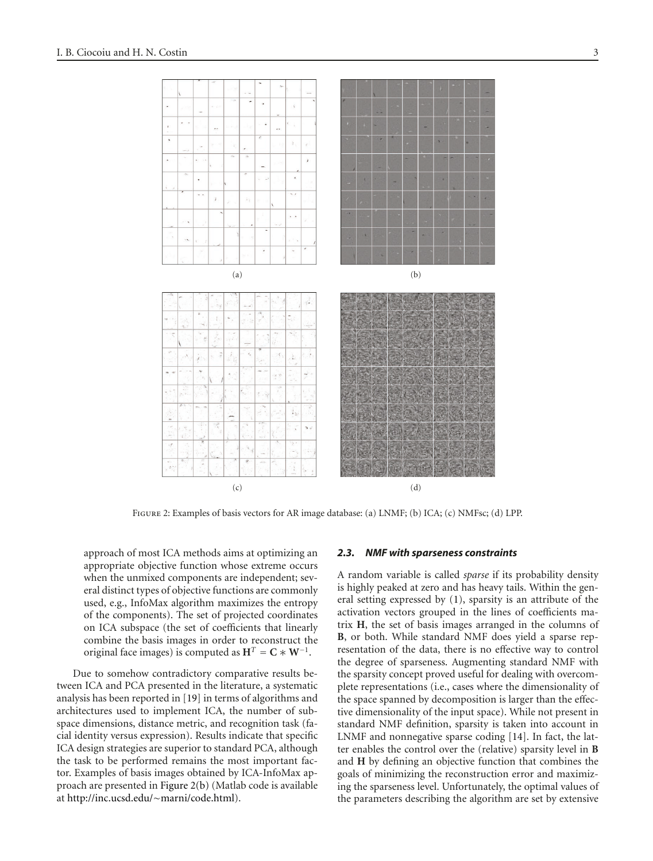<span id="page-2-2"></span><span id="page-2-1"></span><span id="page-2-0"></span>

FIGURE 2: Examples of basis vectors for AR image database: (a) LNMF; (b) ICA; (c) NMFsc; (d) LPP.

approach of most ICA methods aims at optimizing an appropriate objective function whose extreme occurs when the unmixed components are independent; several distinct types of objective functions are commonly used, e.g., InfoMax algorithm maximizes the entropy of the components). The set of projected coordinates on ICA subspace (the set of coefficients that linearly combine the basis images in order to reconstruct the original face images) is computed as  $H^T = C * W^{-1}$ .

Due to somehow contradictory comparative results between ICA and PCA presented in the literature, a systematic analysis has been reported in [\[19](#page-7-17)] in terms of algorithms and architectures used to implement ICA, the number of subspace dimensions, distance metric, and recognition task (facial identity versus expression). Results indicate that specific ICA design strategies are superior to standard PCA, although the task to be performed remains the most important factor. Examples of basis images obtained by ICA-InfoMax approach are presented in [Figure 2\(b\)](#page-2-1) (Matlab code is available at [http://inc.ucsd.edu/](http://inc.ucsd.edu/~marni/code.html)∼marni/code.html).

#### <span id="page-2-3"></span>*2.3. NMF with sparseness constraints*

A random variable is called *sparse* if its probability density is highly peaked at zero and has heavy tails. Within the general setting expressed by [\(1\)](#page-1-1), sparsity is an attribute of the activation vectors grouped in the lines of coefficients matrix **H**, the set of basis images arranged in the columns of **B**, or both. While standard NMF does yield a sparse representation of the data, there is no effective way to control the degree of sparseness. Augmenting standard NMF with the sparsity concept proved useful for dealing with overcomplete representations (i.e., cases where the dimensionality of the space spanned by decomposition is larger than the effective dimensionality of the input space). While not present in standard NMF definition, sparsity is taken into account in LNMF and nonnegative sparse coding [\[14](#page-7-12)]. In fact, the latter enables the control over the (relative) sparsity level in **B** and **H** by defining an objective function that combines the goals of minimizing the reconstruction error and maximizing the sparseness level. Unfortunately, the optimal values of the parameters describing the algorithm are set by extensive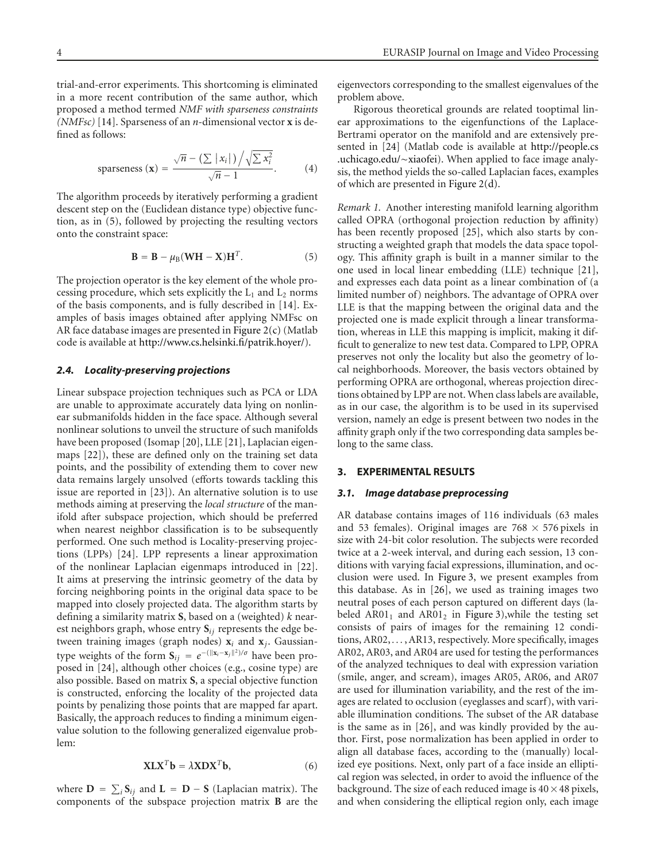trial-and-error experiments. This shortcoming is eliminated in a more recent contribution of the same author, which proposed a method termed *NMF with sparseness constraints (NMFsc)* [\[14\]](#page-7-12). Sparseness of an *n*-dimensional vector **x** is defined as follows:

sparseness 
$$
(\mathbf{x}) = \frac{\sqrt{n} - (\sum |x_i|) / \sqrt{\sum x_i^2}}{\sqrt{n} - 1}
$$
. (4)

The algorithm proceeds by iteratively performing a gradient descent step on the (Euclidean distance type) objective function, as in [\(5\)](#page-3-0), followed by projecting the resulting vectors onto the constraint space:

<span id="page-3-0"></span>
$$
\mathbf{B} = \mathbf{B} - \mu_{\text{B}}(\mathbf{W}\mathbf{H} - \mathbf{X})\mathbf{H}^{T}.
$$
 (5)

The projection operator is the key element of the whole processing procedure, which sets explicitly the  $L_1$  and  $L_2$  norms of the basis components, and is fully described in [\[14](#page-7-12)]. Examples of basis images obtained after applying NMFsc on AR face database images are presented in [Figure 2\(c\)](#page-2-2) (Matlab code is available at [http://www.cs.helsinki.fi/patrik.hoyer/\)](http://www.cs.helsinki.fi/patrik.hoyer/).

## *2.4. Locality-preserving projections*

Linear subspace projection techniques such as PCA or LDA are unable to approximate accurately data lying on nonlinear submanifolds hidden in the face space. Although several nonlinear solutions to unveil the structure of such manifolds have been proposed (Isomap [\[20](#page-7-18)], LLE [\[21](#page-7-19)], Laplacian eigenmaps [\[22](#page-7-20)]), these are defined only on the training set data points, and the possibility of extending them to cover new data remains largely unsolved (efforts towards tackling this issue are reported in [\[23\]](#page-7-21)). An alternative solution is to use methods aiming at preserving the *local structure* of the manifold after subspace projection, which should be preferred when nearest neighbor classification is to be subsequently performed. One such method is Locality-preserving projections (LPPs) [\[24\]](#page-7-22). LPP represents a linear approximation of the nonlinear Laplacian eigenmaps introduced in [\[22](#page-7-20)]. It aims at preserving the intrinsic geometry of the data by forcing neighboring points in the original data space to be mapped into closely projected data. The algorithm starts by defining a similarity matrix **S**, based on a (weighted) *k* nearest neighbors graph, whose entry **S***ij* represents the edge between training images (graph nodes) **x***<sup>i</sup>* and **x***j*. Gaussiantype weights of the form  $S_{ij} = e^{-(\|\mathbf{x}_i - \mathbf{x}_j\|^2)/\sigma}$  have been proposed in [\[24\]](#page-7-22), although other choices (e.g., cosine type) are also possible. Based on matrix **S**, a special objective function is constructed, enforcing the locality of the projected data points by penalizing those points that are mapped far apart. Basically, the approach reduces to finding a minimum eigenvalue solution to the following generalized eigenvalue problem:

$$
X L X^T b = \lambda X D X^T b, \qquad (6)
$$

where  $D = \sum_i S_{ij}$  and  $L = D - S$  (Laplacian matrix). The components of the subspace projection matrix **B** are the eigenvectors corresponding to the smallest eigenvalues of the problem above.

Rigorous theoretical grounds are related tooptimal linear approximations to the eigenfunctions of the Laplace-Bertrami operator on the manifold and are extensively presented in [\[24](#page-7-22)] (Matlab code is available at [http://people.cs](http://people.cs.uchicago.edu/~xiaofei) [.uchicago.edu/](http://people.cs.uchicago.edu/~xiaofei)∼xiaofei). When applied to face image analysis, the method yields the so-called Laplacian faces, examples of which are presented in [Figure 2\(d\).](#page-2-3)

*Remark 1.* Another interesting manifold learning algorithm called OPRA (orthogonal projection reduction by affinity) has been recently proposed [\[25](#page-7-23)], which also starts by constructing a weighted graph that models the data space topology. This affinity graph is built in a manner similar to the one used in local linear embedding (LLE) technique [\[21](#page-7-19)], and expresses each data point as a linear combination of (a limited number of) neighbors. The advantage of OPRA over LLE is that the mapping between the original data and the projected one is made explicit through a linear transformation, whereas in LLE this mapping is implicit, making it difficult to generalize to new test data. Compared to LPP, OPRA preserves not only the locality but also the geometry of local neighborhoods. Moreover, the basis vectors obtained by performing OPRA are orthogonal, whereas projection directions obtained by LPP are not. When class labels are available, as in our case, the algorithm is to be used in its supervised version, namely an edge is present between two nodes in the affinity graph only if the two corresponding data samples belong to the same class.

## **3. EXPERIMENTAL RESULTS**

#### *3.1. Image database preprocessing*

AR database contains images of 116 individuals (63 males and 53 females). Original images are  $768 \times 576$  pixels in size with 24-bit color resolution. The subjects were recorded twice at a 2-week interval, and during each session, 13 conditions with varying facial expressions, illumination, and occlusion were used. In [Figure 3,](#page-4-0) we present examples from this database. As in [\[26\]](#page-7-24), we used as training images two neutral poses of each person captured on different days (labeled AR01 $_1$  and AR01 $_2$  in [Figure 3\)](#page-4-0), while the testing set consists of pairs of images for the remaining 12 conditions, AR02, *...* , AR13, respectively. More specifically, images AR02, AR03, and AR04 are used for testing the performances of the analyzed techniques to deal with expression variation (smile, anger, and scream), images AR05, AR06, and AR07 are used for illumination variability, and the rest of the images are related to occlusion (eyeglasses and scarf), with variable illumination conditions. The subset of the AR database is the same as in [\[26\]](#page-7-24), and was kindly provided by the author. First, pose normalization has been applied in order to align all database faces, according to the (manually) localized eye positions. Next, only part of a face inside an elliptical region was selected, in order to avoid the influence of the background. The size of each reduced image is  $40 \times 48$  pixels, and when considering the elliptical region only, each image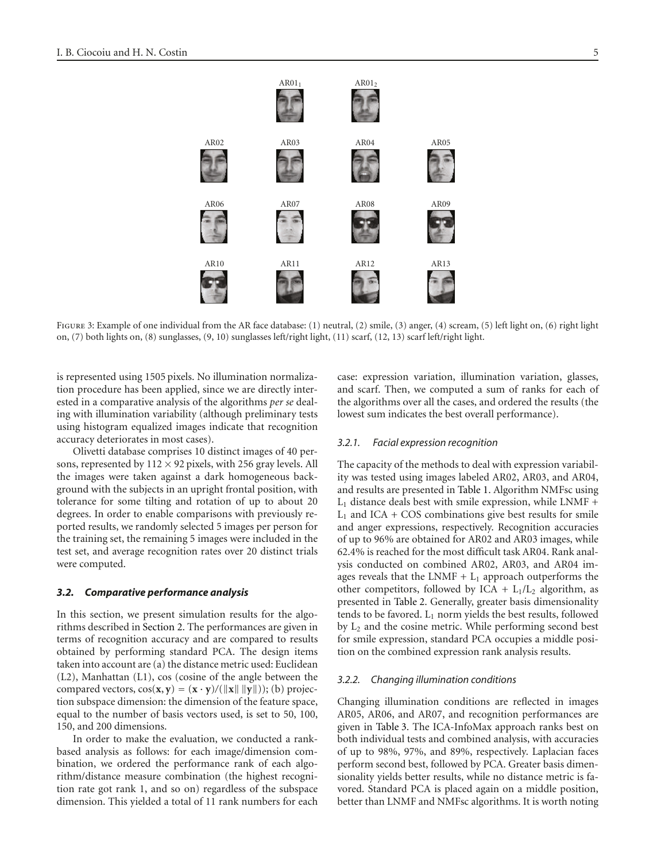$AR01<sub>1</sub>$   $AR01<sub>2</sub>$ AR02 AR03 AR04 AR05 AR06 AR07 AR08 AR09 AR10 AR11 AR12 AR13

<span id="page-4-0"></span>FIGURE 3: Example of one individual from the AR face database: (1) neutral, (2) smile, (3) anger, (4) scream, (5) left light on, (6) right light on, (7) both lights on, (8) sunglasses, (9, 10) sunglasses left/right light, (11) scarf, (12, 13) scarf left/right light.

is represented using 1505 pixels. No illumination normalization procedure has been applied, since we are directly interested in a comparative analysis of the algorithms *per se* dealing with illumination variability (although preliminary tests using histogram equalized images indicate that recognition accuracy deteriorates in most cases).

Olivetti database comprises 10 distinct images of 40 persons, represented by  $112 \times 92$  pixels, with 256 gray levels. All the images were taken against a dark homogeneous background with the subjects in an upright frontal position, with tolerance for some tilting and rotation of up to about 20 degrees. In order to enable comparisons with previously reported results, we randomly selected 5 images per person for the training set, the remaining 5 images were included in the test set, and average recognition rates over 20 distinct trials were computed.

## *3.2. Comparative performance analysis*

In this section, we present simulation results for the algorithms described in [Section 2.](#page-1-2) The performances are given in terms of recognition accuracy and are compared to results obtained by performing standard PCA. The design items taken into account are (a) the distance metric used: Euclidean (L2), Manhattan (L1), cos (cosine of the angle between the compared vectors,  $\cos(\mathbf{x}, \mathbf{y}) = (\mathbf{x} \cdot \mathbf{y}) / (\|\mathbf{x}\| \|\mathbf{y}\|)$ ; (b) projection subspace dimension: the dimension of the feature space, equal to the number of basis vectors used, is set to 50, 100, 150, and 200 dimensions.

In order to make the evaluation, we conducted a rankbased analysis as follows: for each image/dimension combination, we ordered the performance rank of each algorithm/distance measure combination (the highest recognition rate got rank 1, and so on) regardless of the subspace dimension. This yielded a total of 11 rank numbers for each

case: expression variation, illumination variation, glasses, and scarf. Then, we computed a sum of ranks for each of the algorithms over all the cases, and ordered the results (the lowest sum indicates the best overall performance).

#### *3.2.1. Facial expression recognition*

The capacity of the methods to deal with expression variability was tested using images labeled AR02, AR03, and AR04, and results are presented in [Table 1.](#page-5-0) Algorithm NMFsc using  $L_1$  distance deals best with smile expression, while LNMF +  $L_1$  and ICA + COS combinations give best results for smile and anger expressions, respectively. Recognition accuracies of up to 96% are obtained for AR02 and AR03 images, while 62.4% is reached for the most difficult task AR04. Rank analysis conducted on combined AR02, AR03, and AR04 images reveals that the LNMF  $+$  L<sub>1</sub> approach outperforms the other competitors, followed by ICA +  $L_1/L_2$  algorithm, as presented in [Table 2.](#page-5-1) Generally, greater basis dimensionality tends to be favored.  $L_1$  norm yields the best results, followed by L2 and the cosine metric. While performing second best for smile expression, standard PCA occupies a middle position on the combined expression rank analysis results.

#### *3.2.2. Changing illumination conditions*

Changing illumination conditions are reflected in images AR05, AR06, and AR07, and recognition performances are given in [Table 3.](#page-6-0) The ICA-InfoMax approach ranks best on both individual tests and combined analysis, with accuracies of up to 98%, 97%, and 89%, respectively. Laplacian faces perform second best, followed by PCA. Greater basis dimensionality yields better results, while no distance metric is favored. Standard PCA is placed again on a middle position, better than LNMF and NMFsc algorithms. It is worth noting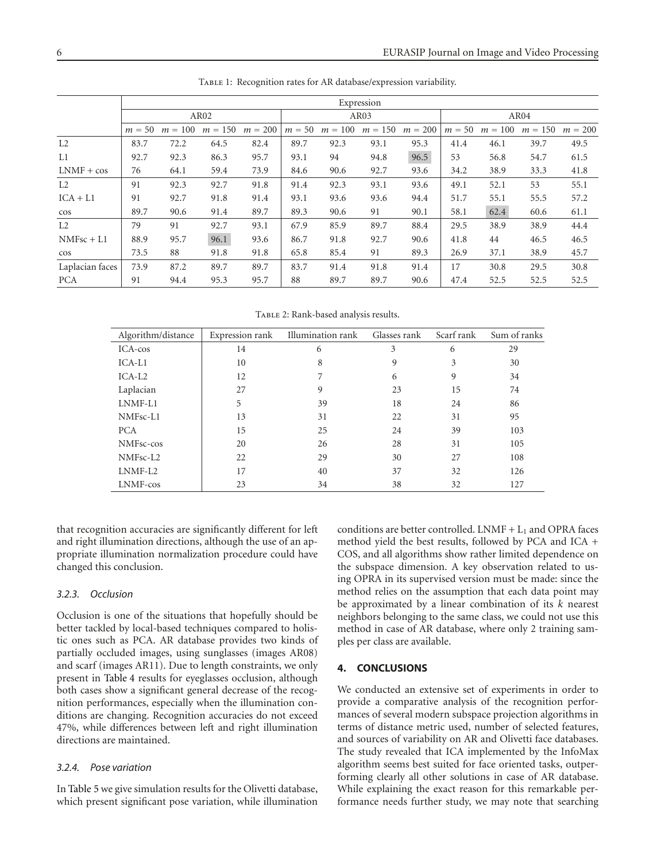|                 | Expression |           |                  |           |          |         |           |           |          |           |           |           |
|-----------------|------------|-----------|------------------|-----------|----------|---------|-----------|-----------|----------|-----------|-----------|-----------|
|                 |            |           | AR <sub>02</sub> |           | AR03     |         |           |           | AR04     |           |           |           |
|                 | $m = 50$   | $m = 100$ | $m = 150$        | $m = 200$ | $m = 50$ | $m=100$ | $m = 150$ | $m = 200$ | $m = 50$ | $m = 100$ | $m = 150$ | $m = 200$ |
| L2              | 83.7       | 72.2      | 64.5             | 82.4      | 89.7     | 92.3    | 93.1      | 95.3      | 41.4     | 46.1      | 39.7      | 49.5      |
| L1              | 92.7       | 92.3      | 86.3             | 95.7      | 93.1     | 94      | 94.8      | 96.5      | 53       | 56.8      | 54.7      | 61.5      |
| $LNMF + cos$    | 76         | 64.1      | 59.4             | 73.9      | 84.6     | 90.6    | 92.7      | 93.6      | 34.2     | 38.9      | 33.3      | 41.8      |
| L2              | 91         | 92.3      | 92.7             | 91.8      | 91.4     | 92.3    | 93.1      | 93.6      | 49.1     | 52.1      | 53        | 55.1      |
| $ICA + L1$      | 91         | 92.7      | 91.8             | 91.4      | 93.1     | 93.6    | 93.6      | 94.4      | 51.7     | 55.1      | 55.5      | 57.2      |
| $\cos$          | 89.7       | 90.6      | 91.4             | 89.7      | 89.3     | 90.6    | 91        | 90.1      | 58.1     | 62.4      | 60.6      | 61.1      |
| L2              | 79         | 91        | 92.7             | 93.1      | 67.9     | 85.9    | 89.7      | 88.4      | 29.5     | 38.9      | 38.9      | 44.4      |
| $NMFsc + L1$    | 88.9       | 95.7      | 96.1             | 93.6      | 86.7     | 91.8    | 92.7      | 90.6      | 41.8     | 44        | 46.5      | 46.5      |
| $\cos$          | 73.5       | 88        | 91.8             | 91.8      | 65.8     | 85.4    | 91        | 89.3      | 26.9     | 37.1      | 38.9      | 45.7      |
| Laplacian faces | 73.9       | 87.2      | 89.7             | 89.7      | 83.7     | 91.4    | 91.8      | 91.4      | 17       | 30.8      | 29.5      | 30.8      |
| <b>PCA</b>      | 91         | 94.4      | 95.3             | 95.7      | 88       | 89.7    | 89.7      | 90.6      | 47.4     | 52.5      | 52.5      | 52.5      |

<span id="page-5-0"></span>Table 1: Recognition rates for AR database/expression variability.

<span id="page-5-1"></span>TABLE 2: Rank-based analysis results.

| Algorithm/distance | Expression rank | Illumination rank | Glasses rank | Scarf rank | Sum of ranks |
|--------------------|-----------------|-------------------|--------------|------------|--------------|
| ICA-cos            | 14              | 6                 | 3            | 6          | 29           |
| $ICA-L1$           | 10              | 8                 | 9            | 3          | 30           |
| $ICA-I.2$          | 12              |                   | 6            | 9          | 34           |
| Laplacian          | 27              | 9                 | 23           | 15         | 74           |
| LNMF-L1            | 5               | 39                | 18           | 24         | 86           |
| NMFsc-L1           | 13              | 31                | 22           | 31         | 95           |
| <b>PCA</b>         | 15              | 25                | 24           | 39         | 103          |
| NMFsc-cos          | 20              | 26                | 28           | 31         | 105          |
| NMFsc-L2           | 22              | 29                | 30           | 27         | 108          |
| LNMF-L2            | 17              | 40                | 37           | 32         | 126          |
| LNMF-cos           | 23              | 34                | 38           | 32         | 127          |

that recognition accuracies are significantly different for left and right illumination directions, although the use of an appropriate illumination normalization procedure could have changed this conclusion.

## *3.2.3. Occlusion*

Occlusion is one of the situations that hopefully should be better tackled by local-based techniques compared to holistic ones such as PCA. AR database provides two kinds of partially occluded images, using sunglasses (images AR08) and scarf (images AR11). Due to length constraints, we only present in [Table 4](#page-6-1) results for eyeglasses occlusion, although both cases show a significant general decrease of the recognition performances, especially when the illumination conditions are changing. Recognition accuracies do not exceed 47%, while differences between left and right illumination directions are maintained.

## *3.2.4. Pose variation*

In [Table 5](#page-6-2) we give simulation results for the Olivetti database, which present significant pose variation, while illumination conditions are better controlled. LNMF  $+ L_1$  and OPRA faces method yield the best results, followed by PCA and ICA + COS, and all algorithms show rather limited dependence on the subspace dimension. A key observation related to using OPRA in its supervised version must be made: since the method relies on the assumption that each data point may be approximated by a linear combination of its *k* nearest neighbors belonging to the same class, we could not use this method in case of AR database, where only 2 training samples per class are available.

#### **4. CONCLUSIONS**

We conducted an extensive set of experiments in order to provide a comparative analysis of the recognition performances of several modern subspace projection algorithms in terms of distance metric used, number of selected features, and sources of variability on AR and Olivetti face databases. The study revealed that ICA implemented by the InfoMax algorithm seems best suited for face oriented tasks, outperforming clearly all other solutions in case of AR database. While explaining the exact reason for this remarkable performance needs further study, we may note that searching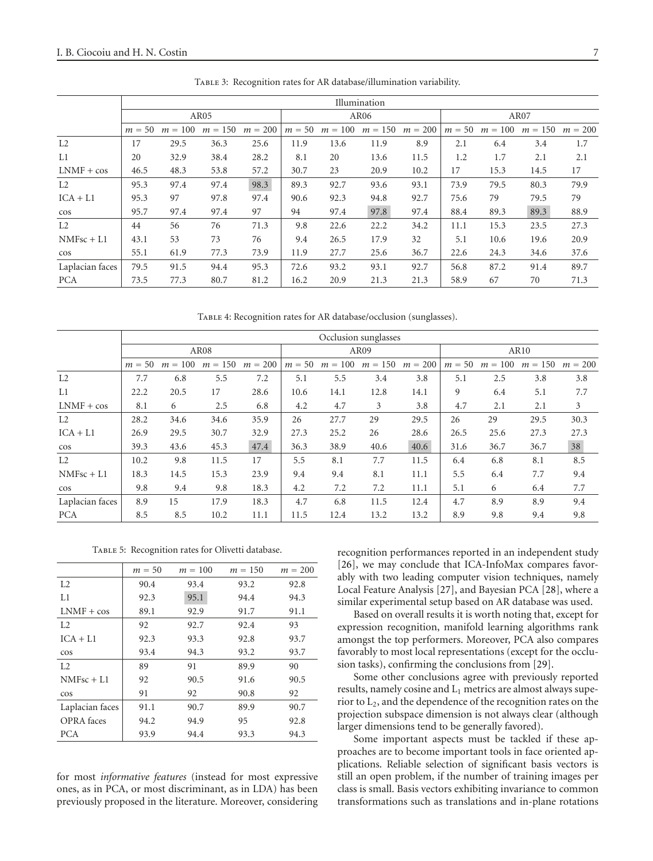|                 | Illumination |           |           |           |                  |      |                     |           |          |         |           |           |
|-----------------|--------------|-----------|-----------|-----------|------------------|------|---------------------|-----------|----------|---------|-----------|-----------|
|                 |              |           | AR05      |           | AR <sub>06</sub> |      |                     |           | AR07     |         |           |           |
|                 | $m = 50$     | $m = 100$ | $m = 150$ | $m = 200$ | $m = 50$         |      | $m = 100$ $m = 150$ | $m = 200$ | $m = 50$ | $m=100$ | $m = 150$ | $m = 200$ |
| L <sub>2</sub>  | 17           | 29.5      | 36.3      | 25.6      | 11.9             | 13.6 | 11.9                | 8.9       | 2.1      | 6.4     | 3.4       | 1.7       |
| L1              | 20           | 32.9      | 38.4      | 28.2      | 8.1              | 20   | 13.6                | 11.5      | 1.2      | 1.7     | 2.1       | 2.1       |
| $LNMF + cos$    | 46.5         | 48.3      | 53.8      | 57.2      | 30.7             | 23   | 20.9                | 10.2      | 17       | 15.3    | 14.5      | 17        |
| L2              | 95.3         | 97.4      | 97.4      | 98.3      | 89.3             | 92.7 | 93.6                | 93.1      | 73.9     | 79.5    | 80.3      | 79.9      |
| $ICA + L1$      | 95.3         | 97        | 97.8      | 97.4      | 90.6             | 92.3 | 94.8                | 92.7      | 75.6     | 79      | 79.5      | 79        |
| $\cos$          | 95.7         | 97.4      | 97.4      | 97        | 94               | 97.4 | 97.8                | 97.4      | 88.4     | 89.3    | 89.3      | 88.9      |
| L2              | 44           | 56        | 76        | 71.3      | 9.8              | 22.6 | 22.2                | 34.2      | 11.1     | 15.3    | 23.5      | 27.3      |
| $NMFsc + L1$    | 43.1         | 53        | 73        | 76        | 9.4              | 26.5 | 17.9                | 32        | 5.1      | 10.6    | 19.6      | 20.9      |
| $\cos$          | 55.1         | 61.9      | 77.3      | 73.9      | 11.9             | 27.7 | 25.6                | 36.7      | 22.6     | 24.3    | 34.6      | 37.6      |
| Laplacian faces | 79.5         | 91.5      | 94.4      | 95.3      | 72.6             | 93.2 | 93.1                | 92.7      | 56.8     | 87.2    | 91.4      | 89.7      |
| <b>PCA</b>      | 73.5         | 77.3      | 80.7      | 81.2      | 16.2             | 20.9 | 21.3                | 21.3      | 58.9     | 67      | 70        | 71.3      |

<span id="page-6-0"></span>Table 3: Recognition rates for AR database/illumination variability.

<span id="page-6-1"></span>Table 4: Recognition rates for AR database/occlusion (sunglasses).

|                 | Occlusion sunglasses |           |           |           |          |         |           |           |          |           |           |           |
|-----------------|----------------------|-----------|-----------|-----------|----------|---------|-----------|-----------|----------|-----------|-----------|-----------|
|                 |                      |           | AR08      |           | AR09     |         |           |           | AR10     |           |           |           |
|                 | $m = 50$             | $m = 100$ | $m = 150$ | $m = 200$ | $m = 50$ | $m=100$ | $m = 150$ | $m = 200$ | $m = 50$ | $m = 100$ | $m = 150$ | $m = 200$ |
| L <sub>2</sub>  | 7.7                  | 6.8       | 5.5       | 7.2       | 5.1      | 5.5     | 3.4       | 3.8       | 5.1      | 2.5       | 3.8       | 3.8       |
| L1              | 22.2                 | 20.5      | 17        | 28.6      | 10.6     | 14.1    | 12.8      | 14.1      | 9        | 6.4       | 5.1       | 7.7       |
| $LNMF + cos$    | 8.1                  | 6         | 2.5       | 6.8       | 4.2      | 4.7     | 3         | 3.8       | 4.7      | 2.1       | 2.1       | 3         |
| L <sub>2</sub>  | 28.2                 | 34.6      | 34.6      | 35.9      | 26       | 27.7    | 29        | 29.5      | 26       | 29        | 29.5      | 30.3      |
| $ICA + L1$      | 26.9                 | 29.5      | 30.7      | 32.9      | 27.3     | 25.2    | 26        | 28.6      | 26.5     | 25.6      | 27.3      | 27.3      |
| $\cos$          | 39.3                 | 43.6      | 45.3      | 47.4      | 36.3     | 38.9    | 40.6      | 40.6      | 31.6     | 36.7      | 36.7      | 38        |
| L2              | 10.2                 | 9.8       | 11.5      | 17        | 5.5      | 8.1     | 7.7       | 11.5      | 6.4      | 6.8       | 8.1       | 8.5       |
| $NMFsc + L1$    | 18.3                 | 14.5      | 15.3      | 23.9      | 9.4      | 9.4     | 8.1       | 11.1      | 5.5      | 6.4       | 7.7       | 9.4       |
| $\cos$          | 9.8                  | 9.4       | 9.8       | 18.3      | 4.2      | 7.2     | 7.2       | 11.1      | 5.1      | 6         | 6.4       | 7.7       |
| Laplacian faces | 8.9                  | 15        | 17.9      | 18.3      | 4.7      | 6.8     | 11.5      | 12.4      | 4.7      | 8.9       | 8.9       | 9.4       |
| <b>PCA</b>      | 8.5                  | 8.5       | 10.2      | 11.1      | 11.5     | 12.4    | 13.2      | 13.2      | 8.9      | 9.8       | 9.4       | 9.8       |

Table 5: Recognition rates for Olivetti database.

<span id="page-6-2"></span>

|                   | $m = 50$ | $m = 100$ | $m = 150$ | $m = 200$ |
|-------------------|----------|-----------|-----------|-----------|
| L <sub>2</sub>    | 90.4     | 93.4      | 93.2      | 92.8      |
| L1                | 92.3     | 95.1      | 94.4      | 94.3      |
| $LMMF + cos$      | 89.1     | 92.9      | 91.7      | 91.1      |
| L2                | 92       | 92.7      | 92.4      | 93        |
| $ICA + L1$        | 92.3     | 93.3      | 92.8      | 93.7      |
| $\cos$            | 93.4     | 94.3      | 93.2      | 93.7      |
| L2                | 89       | 91        | 89.9      | 90        |
| $NMFsc + L1$      | 92       | 90.5      | 91.6      | 90.5      |
| $\cos$            | 91       | 92        | 90.8      | 92        |
| Laplacian faces   | 91.1     | 90.7      | 89.9      | 90.7      |
| <b>OPRA</b> faces | 94.2     | 94.9      | 95        | 92.8      |
| <b>PCA</b>        | 93.9     | 94.4      | 93.3      | 94.3      |

for most *informative features* (instead for most expressive ones, as in PCA, or most discriminant, as in LDA) has been previously proposed in the literature. Moreover, considering recognition performances reported in an independent study [\[26](#page-7-24)], we may conclude that ICA-InfoMax compares favorably with two leading computer vision techniques, namely Local Feature Analysis [\[27](#page-7-25)], and Bayesian PCA [\[28](#page-7-26)], where a similar experimental setup based on AR database was used.

Based on overall results it is worth noting that, except for expression recognition, manifold learning algorithms rank amongst the top performers. Moreover, PCA also compares favorably to most local representations (except for the occlusion tasks), confirming the conclusions from [\[29](#page-7-27)].

Some other conclusions agree with previously reported results, namely cosine and  $L_1$  metrics are almost always superior to  $L_2$ , and the dependence of the recognition rates on the projection subspace dimension is not always clear (although larger dimensions tend to be generally favored).

Some important aspects must be tackled if these approaches are to become important tools in face oriented applications. Reliable selection of significant basis vectors is still an open problem, if the number of training images per class is small. Basis vectors exhibiting invariance to common transformations such as translations and in-plane rotations